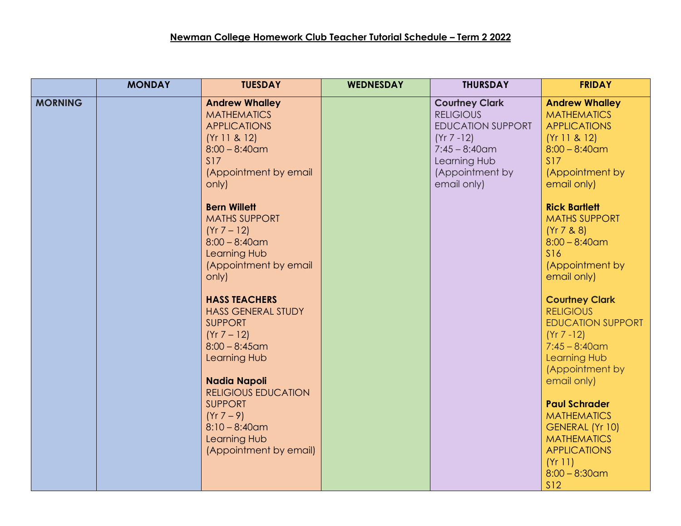|                | <b>MONDAY</b> | <b>TUESDAY</b>                                                                                                                                             | <b>WEDNESDAY</b> | <b>THURSDAY</b>                                                                                                                                              | <b>FRIDAY</b>                                                                                                                                                  |
|----------------|---------------|------------------------------------------------------------------------------------------------------------------------------------------------------------|------------------|--------------------------------------------------------------------------------------------------------------------------------------------------------------|----------------------------------------------------------------------------------------------------------------------------------------------------------------|
| <b>MORNING</b> |               | <b>Andrew Whalley</b><br><b>MATHEMATICS</b><br><b>APPLICATIONS</b><br>(Yr 11 & 8 12)<br>$8:00 - 8:40$ am<br>S17<br>(Appointment by email<br>only)          |                  | <b>Courtney Clark</b><br><b>RELIGIOUS</b><br><b>EDUCATION SUPPORT</b><br>$(Yr 7 - 12)$<br>$7:45 - 8:40$ am<br>Learning Hub<br>(Appointment by<br>email only) | <b>Andrew Whalley</b><br><b>MATHEMATICS</b><br><b>APPLICATIONS</b><br>(Yr 11 & 8 12)<br>$8:00 - 8:40$ am<br>S17<br>(Appointment by<br>email only)              |
|                |               | <b>Bern Willett</b><br><b>MATHS SUPPORT</b><br>$(Yr 7 - 12)$<br>$8:00 - 8:40$ am<br>Learning Hub<br>(Appointment by email<br>only)<br><b>HASS TEACHERS</b> |                  |                                                                                                                                                              | <b>Rick Bartlett</b><br><b>MATHS SUPPORT</b><br>(Yr 7 & 8)<br>$8:00 - 8:40$ am<br><b>S16</b><br>(Appointment by<br>email only)<br><b>Courtney Clark</b>        |
|                |               | <b>HASS GENERAL STUDY</b><br><b>SUPPORT</b><br>$(Yr 7 - 12)$<br>$8:00 - 8:45$ am<br>Learning Hub<br><b>Nadia Napoli</b><br><b>RELIGIOUS EDUCATION</b>      |                  |                                                                                                                                                              | <b>RELIGIOUS</b><br><b>EDUCATION SUPPORT</b><br>$(Yr 7 - 12)$<br>$7:45 - 8:40$ am<br>Learning Hub<br>(Appointment by<br>email only)                            |
|                |               | <b>SUPPORT</b><br>$(Yr 7 - 9)$<br>$8:10 - 8:40$ am<br>Learning Hub<br>(Appointment by email)                                                               |                  |                                                                                                                                                              | <b>Paul Schrader</b><br><b>MATHEMATICS</b><br><b>GENERAL (Yr 10)</b><br><b>MATHEMATICS</b><br><b>APPLICATIONS</b><br>(Yr 11)<br>$8:00 - 8:30$ am<br><b>S12</b> |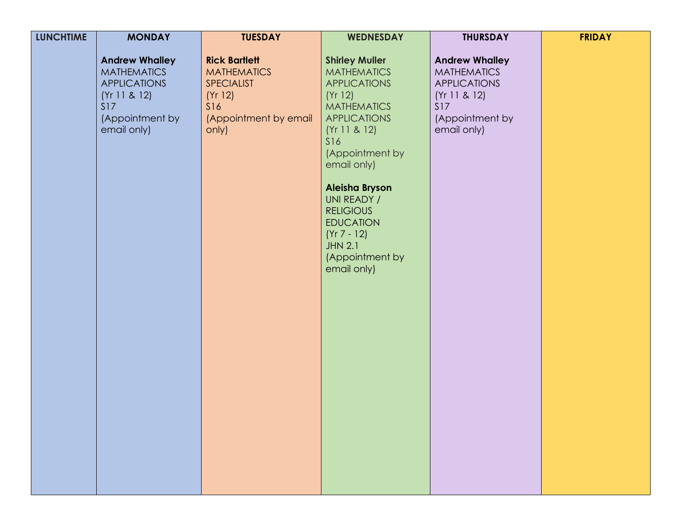| <b>Andrew Whalley</b><br><b>Rick Bartlett</b><br><b>Shirley Muller</b><br><b>Andrew Whalley</b><br><b>MATHEMATICS</b><br><b>MATHEMATICS</b><br><b>MATHEMATICS</b><br><b>MATHEMATICS</b><br><b>APPLICATIONS</b><br><b>APPLICATIONS</b><br>SPECIALIST<br><b>APPLICATIONS</b><br>(Yr 12)<br>(Yr 12)<br>(Yr 11 & 8 12)<br>(Yr 11 & 8 12)<br><b>S17</b><br><b>S16</b><br><b>MATHEMATICS</b><br><b>S17</b><br>(Appointment by<br>(Appointment by email<br>(Appointment by<br><b>APPLICATIONS</b><br>email only)<br>email only)<br>only)<br>(Yr 11 & 8 12)<br><b>S16</b><br>(Appointment by<br>email only)<br>Aleisha Bryson<br>UNI READY /<br><b>RELIGIOUS</b><br><b>EDUCATION</b><br>$(Yr 7 - 12)$<br><b>JHN 2.1</b><br>(Appointment by<br>email only) | <b>LUNCHTIME</b> | <b>MONDAY</b> | <b>TUESDAY</b> | WEDNESDAY | <b>THURSDAY</b> | <b>FRIDAY</b> |
|---------------------------------------------------------------------------------------------------------------------------------------------------------------------------------------------------------------------------------------------------------------------------------------------------------------------------------------------------------------------------------------------------------------------------------------------------------------------------------------------------------------------------------------------------------------------------------------------------------------------------------------------------------------------------------------------------------------------------------------------------|------------------|---------------|----------------|-----------|-----------------|---------------|
|                                                                                                                                                                                                                                                                                                                                                                                                                                                                                                                                                                                                                                                                                                                                                   |                  |               |                |           |                 |               |
|                                                                                                                                                                                                                                                                                                                                                                                                                                                                                                                                                                                                                                                                                                                                                   |                  |               |                |           |                 |               |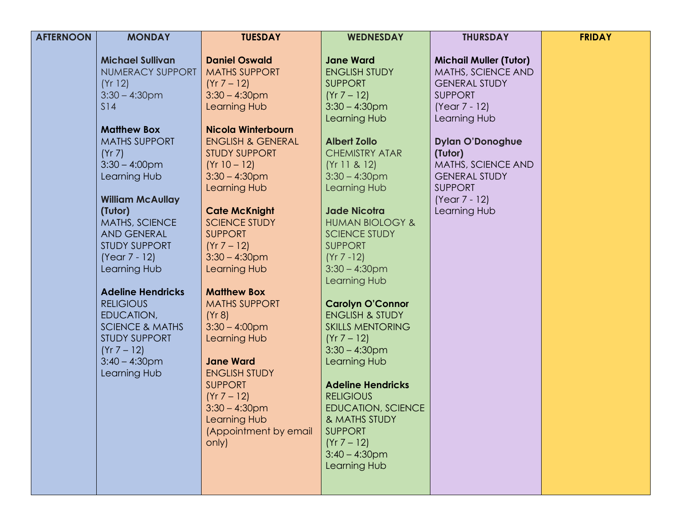| <b>AFTERNOON</b> | <b>MONDAY</b>                                                                                                                                                                                                                                                                                                                                                                                                                                                                                   | <b>TUESDAY</b>                                                                                                                                                                                                                                                                                                                                                                                                                                                                                                                                                                                                       | <b>WEDNESDAY</b>                                                                                                                                                                                                                                                                                                                                                                                                                                                                                                                                                                                                                                                                        | <b>THURSDAY</b>                                                                                                                                                                                                                                                       | <b>FRIDAY</b> |
|------------------|-------------------------------------------------------------------------------------------------------------------------------------------------------------------------------------------------------------------------------------------------------------------------------------------------------------------------------------------------------------------------------------------------------------------------------------------------------------------------------------------------|----------------------------------------------------------------------------------------------------------------------------------------------------------------------------------------------------------------------------------------------------------------------------------------------------------------------------------------------------------------------------------------------------------------------------------------------------------------------------------------------------------------------------------------------------------------------------------------------------------------------|-----------------------------------------------------------------------------------------------------------------------------------------------------------------------------------------------------------------------------------------------------------------------------------------------------------------------------------------------------------------------------------------------------------------------------------------------------------------------------------------------------------------------------------------------------------------------------------------------------------------------------------------------------------------------------------------|-----------------------------------------------------------------------------------------------------------------------------------------------------------------------------------------------------------------------------------------------------------------------|---------------|
|                  | <b>Michael Sullivan</b><br>NUMERACY SUPPORT<br>(Yr 12)<br>$3:30 - 4:30$ pm<br>S14<br><b>Matthew Box</b><br><b>MATHS SUPPORT</b><br>(Yr 7)<br>$3:30 - 4:00$ pm<br>Learning Hub<br><b>William McAullay</b><br>(Tutor)<br>MATHS, SCIENCE<br><b>AND GENERAL</b><br><b>STUDY SUPPORT</b><br>$(Year 7 - 12)$<br>Learning Hub<br><b>Adeline Hendricks</b><br><b>RELIGIOUS</b><br>EDUCATION,<br><b>SCIENCE &amp; MATHS</b><br><b>STUDY SUPPORT</b><br>$(Yr 7 - 12)$<br>$3:40 - 4:30$ pm<br>Learning Hub | <b>Daniel Oswald</b><br><b>MATHS SUPPORT</b><br>$(Yr 7 - 12)$<br>$3:30 - 4:30$ pm<br>Learning Hub<br><b>Nicola Winterbourn</b><br><b>ENGLISH &amp; GENERAL</b><br><b>STUDY SUPPORT</b><br>$(Yr 10 - 12)$<br>$3:30 - 4:30$ pm<br>Learning Hub<br><b>Cate McKnight</b><br><b>SCIENCE STUDY</b><br><b>SUPPORT</b><br>$(Yr 7 - 12)$<br>$3:30 - 4:30$ pm<br>Learning Hub<br><b>Matthew Box</b><br><b>MATHS SUPPORT</b><br>(Yr 8)<br>$3:30 - 4:00$ pm<br>Learning Hub<br><b>Jane Ward</b><br><b>ENGLISH STUDY</b><br><b>SUPPORT</b><br>$(Yr 7 - 12)$<br>$3:30 - 4:30$ pm<br>Learning Hub<br>(Appointment by email<br>only) | <b>Jane Ward</b><br><b>ENGLISH STUDY</b><br><b>SUPPORT</b><br>$(Yr 7 - 12)$<br>$3:30 - 4:30$ pm<br>Learning Hub<br><b>Albert Zollo</b><br><b>CHEMISTRY ATAR</b><br>(Yr 11 & 8 12)<br>$3:30 - 4:30$ pm<br>Learning Hub<br><b>Jade Nicotra</b><br><b>HUMAN BIOLOGY &amp;</b><br><b>SCIENCE STUDY</b><br><b>SUPPORT</b><br>$(Yr 7 - 12)$<br>$3:30 - 4:30$ pm<br>Learning Hub<br><b>Carolyn O'Connor</b><br><b>ENGLISH &amp; STUDY</b><br><b>SKILLS MENTORING</b><br>$(Yr 7 - 12)$<br>$3:30 - 4:30$ pm<br>Learning Hub<br><b>Adeline Hendricks</b><br><b>RELIGIOUS</b><br><b>EDUCATION, SCIENCE</b><br>& MATHS STUDY<br><b>SUPPORT</b><br>$(Yr 7 - 12)$<br>$3:40 - 4:30$ pm<br>Learning Hub | <b>Michail Muller (Tutor)</b><br>MATHS, SCIENCE AND<br><b>GENERAL STUDY</b><br><b>SUPPORT</b><br>(Year 7 - 12)<br>Learning Hub<br><b>Dylan O'Donoghue</b><br>(Tutor)<br>MATHS, SCIENCE AND<br><b>GENERAL STUDY</b><br><b>SUPPORT</b><br>(Year 7 - 12)<br>Learning Hub |               |
|                  |                                                                                                                                                                                                                                                                                                                                                                                                                                                                                                 |                                                                                                                                                                                                                                                                                                                                                                                                                                                                                                                                                                                                                      |                                                                                                                                                                                                                                                                                                                                                                                                                                                                                                                                                                                                                                                                                         |                                                                                                                                                                                                                                                                       |               |